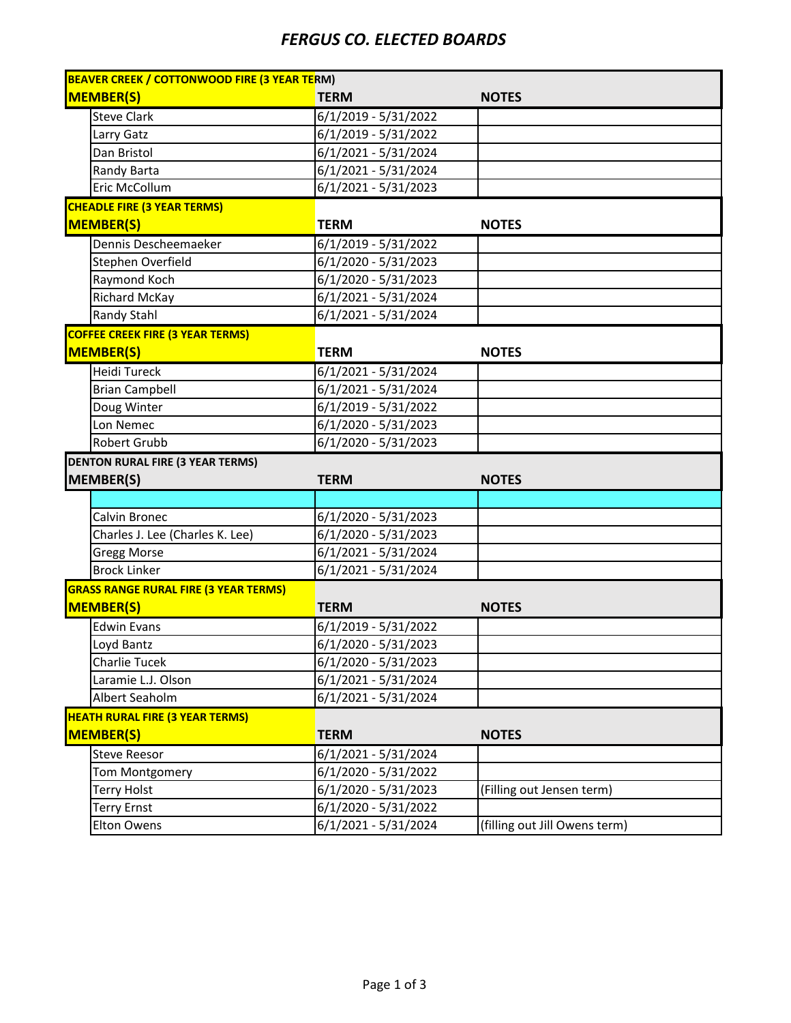## *FERGUS CO. ELECTED BOARDS*

| <b>BEAVER CREEK / COTTONWOOD FIRE (3 YEAR TERM)</b> |                                              |                               |  |  |
|-----------------------------------------------------|----------------------------------------------|-------------------------------|--|--|
| <b>MEMBER(S)</b>                                    | <b>TERM</b>                                  | <b>NOTES</b>                  |  |  |
| <b>Steve Clark</b>                                  | $6/1/2019 - 5/31/2022$                       |                               |  |  |
| Larry Gatz                                          | 6/1/2019 - 5/31/2022                         |                               |  |  |
| Dan Bristol                                         | 6/1/2021 - 5/31/2024                         |                               |  |  |
| Randy Barta                                         | $6/1/2021 - 5/31/2024$                       |                               |  |  |
| Eric McCollum                                       | $6/1/2021 - 5/31/2023$                       |                               |  |  |
| <b>CHEADLE FIRE (3 YEAR TERMS)</b>                  |                                              |                               |  |  |
| <b>MEMBER(S)</b>                                    | <b>TERM</b>                                  | <b>NOTES</b>                  |  |  |
| Dennis Descheemaeker                                | 6/1/2019 - 5/31/2022                         |                               |  |  |
| Stephen Overfield                                   | $6/1/2020 - 5/31/2023$                       |                               |  |  |
| Raymond Koch                                        | $6/1/2020 - 5/31/2023$                       |                               |  |  |
| Richard McKay                                       | 6/1/2021 - 5/31/2024                         |                               |  |  |
| Randy Stahl                                         | 6/1/2021 - 5/31/2024                         |                               |  |  |
| <b>COFFEE CREEK FIRE (3 YEAR TERMS)</b>             |                                              |                               |  |  |
| <b>MEMBER(S)</b>                                    | <b>TERM</b>                                  | <b>NOTES</b>                  |  |  |
| Heidi Tureck                                        | 6/1/2021 - 5/31/2024                         |                               |  |  |
| <b>Brian Campbell</b>                               | 6/1/2021 - 5/31/2024                         |                               |  |  |
| Doug Winter                                         | 6/1/2019 - 5/31/2022                         |                               |  |  |
| Lon Nemec                                           | $6/1/2020 - 5/31/2023$                       |                               |  |  |
| Robert Grubb                                        | $6/1/2020 - 5/31/2023$                       |                               |  |  |
|                                                     |                                              |                               |  |  |
| <b>DENTON RURAL FIRE (3 YEAR TERMS)</b>             |                                              |                               |  |  |
| MEMBER(S)                                           | <b>TERM</b>                                  | <b>NOTES</b>                  |  |  |
|                                                     |                                              |                               |  |  |
| Calvin Bronec                                       | 6/1/2020 - 5/31/2023                         |                               |  |  |
| Charles J. Lee (Charles K. Lee)                     | 6/1/2020 - 5/31/2023                         |                               |  |  |
| <b>Gregg Morse</b>                                  | 6/1/2021 - 5/31/2024                         |                               |  |  |
| <b>Brock Linker</b>                                 | 6/1/2021 - 5/31/2024                         |                               |  |  |
| <b>GRASS RANGE RURAL FIRE (3 YEAR TERMS)</b>        |                                              |                               |  |  |
| <b>MEMBER(S)</b>                                    | <b>TERM</b>                                  | <b>NOTES</b>                  |  |  |
| <b>Edwin Evans</b>                                  | 6/1/2019 - 5/31/2022                         |                               |  |  |
| Loyd Bantz                                          | 6/1/2020 - 5/31/2023                         |                               |  |  |
| Charlie Tucek                                       | 6/1/2020 - 5/31/2023                         |                               |  |  |
| Laramie L.J. Olson                                  | $6/1/2021 - 5/31/2024$                       |                               |  |  |
| Albert Seaholm                                      | 6/1/2021 - 5/31/2024                         |                               |  |  |
| <b>HEATH RURAL FIRE (3 YEAR TERMS)</b>              |                                              |                               |  |  |
| <b>MEMBER(S)</b>                                    | <b>TERM</b>                                  | <b>NOTES</b>                  |  |  |
| <b>Steve Reesor</b>                                 | 6/1/2021 - 5/31/2024                         |                               |  |  |
| <b>Tom Montgomery</b>                               | 6/1/2020 - 5/31/2022                         |                               |  |  |
| <b>Terry Holst</b>                                  | 6/1/2020 - 5/31/2023                         | (Filling out Jensen term)     |  |  |
| <b>Terry Ernst</b>                                  | 6/1/2020 - 5/31/2022<br>6/1/2021 - 5/31/2024 | (filling out Jill Owens term) |  |  |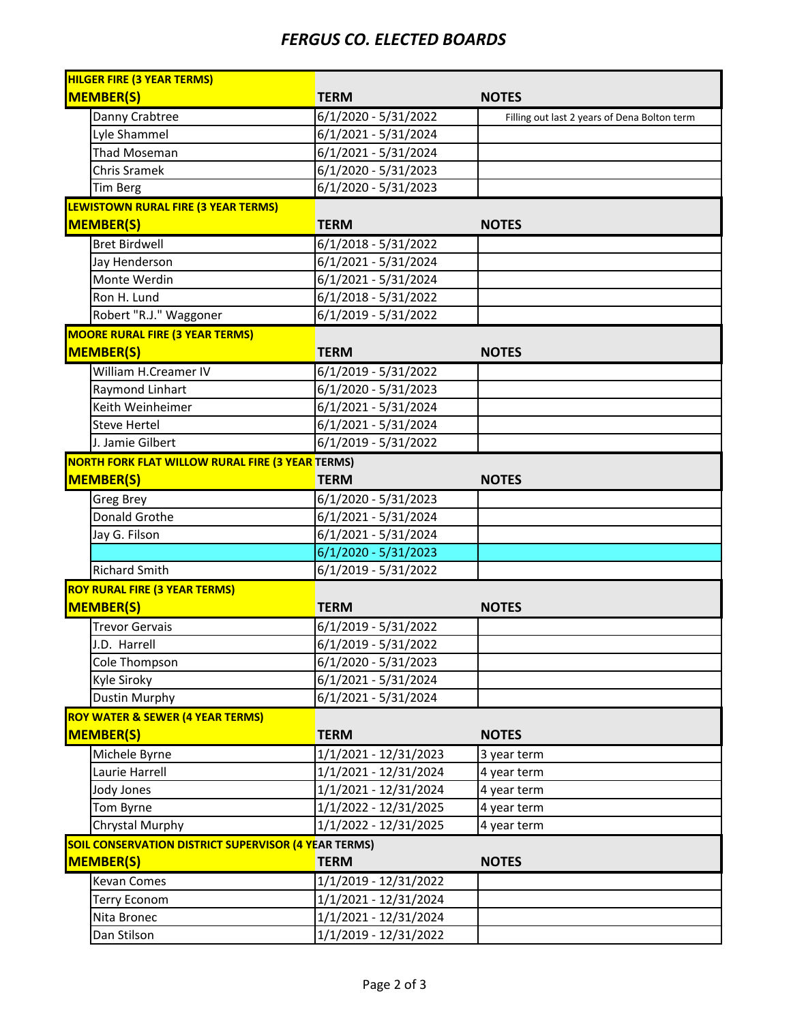## *FERGUS CO. ELECTED BOARDS*

| <b>HILGER FIRE (3 YEAR TERMS)</b>                           |                               |                                              |
|-------------------------------------------------------------|-------------------------------|----------------------------------------------|
| <b>MEMBER(S)</b>                                            | <b>TERM</b>                   | <b>NOTES</b>                                 |
| Danny Crabtree                                              | 6/1/2020 - 5/31/2022          | Filling out last 2 years of Dena Bolton term |
| Lyle Shammel                                                | 6/1/2021 - 5/31/2024          |                                              |
| <b>Thad Moseman</b>                                         | 6/1/2021 - 5/31/2024          |                                              |
| <b>Chris Sramek</b>                                         | $6/1/2020 - 5/31/2023$        |                                              |
| <b>Tim Berg</b>                                             | $6/1/2020 - 5/31/2023$        |                                              |
| LEWISTOWN RURAL FIRE (3 YEAR TERMS)                         |                               |                                              |
| <b>MEMBER(S)</b>                                            | <b>TERM</b>                   | <b>NOTES</b>                                 |
| <b>Bret Birdwell</b>                                        | $6/1/2018 - 5/31/2022$        |                                              |
| Jay Henderson                                               | 6/1/2021 - 5/31/2024          |                                              |
| Monte Werdin                                                | 6/1/2021 - 5/31/2024          |                                              |
| Ron H. Lund                                                 | $6/1/2018 - 5/31/2022$        |                                              |
| Robert "R.J." Waggoner                                      | $6/1/2019 - 5/31/2022$        |                                              |
| <b>MOORE RURAL FIRE (3 YEAR TERMS)</b>                      |                               |                                              |
| <b>MEMBER(S)</b>                                            | <b>TERM</b>                   | <b>NOTES</b>                                 |
| William H.Creamer IV                                        | $6/1/2019 - 5/31/2022$        |                                              |
| Raymond Linhart                                             | 6/1/2020 - 5/31/2023          |                                              |
| Keith Weinheimer                                            | $6/1/2021 - 5/31/2024$        |                                              |
| <b>Steve Hertel</b>                                         | 6/1/2021 - 5/31/2024          |                                              |
| J. Jamie Gilbert                                            | $6/1/2019 - 5/31/2022$        |                                              |
| NORTH FORK FLAT WILLOW RURAL FIRE (3 YEAR TERMS)            |                               |                                              |
| <b>MEMBER(S)</b>                                            | <b>TERM</b>                   | <b>NOTES</b>                                 |
| Greg Brey                                                   | $\sqrt{6/1}/2020 - 5/31/2023$ |                                              |
| Donald Grothe                                               | $6/1/2021 - 5/31/2024$        |                                              |
| Jay G. Filson                                               | $6/1/2021 - 5/31/2024$        |                                              |
|                                                             | $6/1/2020 - 5/31/2023$        |                                              |
| <b>Richard Smith</b>                                        | 6/1/2019 - 5/31/2022          |                                              |
| <b>ROY RURAL FIRE (3 YEAR TERMS)</b>                        |                               |                                              |
| MEMBER(S)                                                   | <b>TERM</b>                   | <b>NOTES</b>                                 |
|                                                             |                               |                                              |
| <b>Trevor Gervais</b><br>J.D. Harrell                       | $6/1/2019 - 5/31/2022$        |                                              |
|                                                             | $6/1/2019 - 5/31/2022$        |                                              |
| Cole Thompson                                               | $6/1/2020 - 5/31/2023$        |                                              |
| Kyle Siroky                                                 | $6/1/2021 - 5/31/2024$        |                                              |
| <b>Dustin Murphy</b>                                        | 6/1/2021 - 5/31/2024          |                                              |
| <b>ROY WATER &amp; SEWER (4 YEAR TERMS)</b>                 |                               |                                              |
| <b>MEMBER(S)</b>                                            | <b>TERM</b>                   | <b>NOTES</b>                                 |
| Michele Byrne                                               | 1/1/2021 - 12/31/2023         | 3 year term                                  |
| Laurie Harrell                                              | 1/1/2021 - 12/31/2024         | 4 year term                                  |
| Jody Jones                                                  | 1/1/2021 - 12/31/2024         | 4 year term                                  |
| Tom Byrne                                                   | 1/1/2022 - 12/31/2025         | 4 year term                                  |
| Chrystal Murphy                                             | 1/1/2022 - 12/31/2025         | 4 year term                                  |
| <b>SOIL CONSERVATION DISTRICT SUPERVISOR (4 YEAR TERMS)</b> |                               |                                              |
| <b>MEMBER(S)</b>                                            | <b>TERM</b>                   | <b>NOTES</b>                                 |
| Kevan Comes                                                 | 1/1/2019 - 12/31/2022         |                                              |
| <b>Terry Econom</b>                                         | 1/1/2021 - 12/31/2024         |                                              |
| Nita Bronec                                                 | 1/1/2021 - 12/31/2024         |                                              |
| Dan Stilson                                                 | 1/1/2019 - 12/31/2022         |                                              |